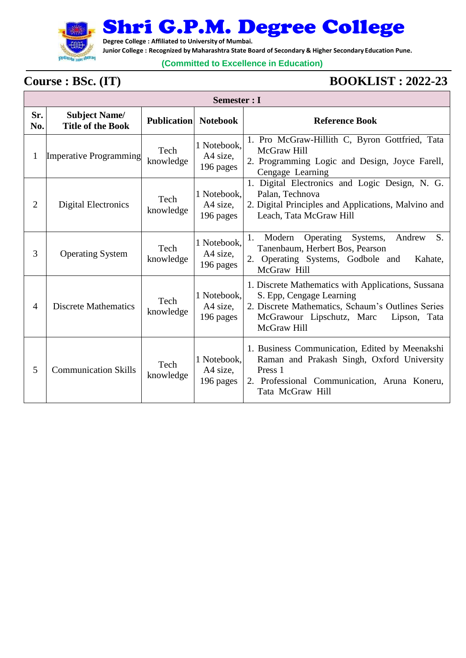

Shri G.P.M. Degree College

**Degree College : Affiliated to University of Mumbai.**

**Junior College : Recognized by Maharashtra State Board of Secondary & Higher Secondary Education Pune.**

## **(Committed to Excellence in Education)**

## Γ

## **Course : BSc. (IT) BOOKLIST : 2022-23**

|                | Semester : I                                     |                    |                                      |                                                                                                                                                                                                 |  |  |
|----------------|--------------------------------------------------|--------------------|--------------------------------------|-------------------------------------------------------------------------------------------------------------------------------------------------------------------------------------------------|--|--|
| Sr.<br>No.     | <b>Subject Name/</b><br><b>Title of the Book</b> | <b>Publication</b> | <b>Notebook</b>                      | <b>Reference Book</b>                                                                                                                                                                           |  |  |
| 1              | <b>Imperative Programming</b>                    | Tech<br>knowledge  | 1 Notebook,<br>A4 size,<br>196 pages | 1. Pro McGraw-Hillith C, Byron Gottfried, Tata<br>McGraw Hill<br>2. Programming Logic and Design, Joyce Farell,<br>Cengage Learning                                                             |  |  |
| $\overline{2}$ | <b>Digital Electronics</b>                       | Tech<br>knowledge  | 1 Notebook,<br>A4 size,<br>196 pages | 1. Digital Electronics and Logic Design, N. G.<br>Palan, Technova<br>2. Digital Principles and Applications, Malvino and<br>Leach, Tata McGraw Hill                                             |  |  |
| 3              | <b>Operating System</b>                          | Tech<br>knowledge  | 1 Notebook,<br>A4 size,<br>196 pages | 1.<br>Systems,<br>S.<br>Modern<br>Operating<br>Andrew<br>Tanenbaum, Herbert Bos, Pearson<br>2. Operating Systems, Godbole and<br>Kahate,<br>McGraw Hill                                         |  |  |
| $\overline{4}$ | <b>Discrete Mathematics</b>                      | Tech<br>knowledge  | 1 Notebook,<br>A4 size,<br>196 pages | 1. Discrete Mathematics with Applications, Sussana<br>S. Epp, Cengage Learning<br>2. Discrete Mathematics, Schaum's Outlines Series<br>McGrawour Lipschutz, Marc<br>Lipson, Tata<br>McGraw Hill |  |  |
| 5              | <b>Communication Skills</b>                      | Tech<br>knowledge  | 1 Notebook,<br>A4 size,<br>196 pages | 1. Business Communication, Edited by Meenakshi<br>Raman and Prakash Singh, Oxford University<br>Press <sub>1</sub><br>2. Professional Communication, Aruna Koneru,<br>Tata McGraw Hill          |  |  |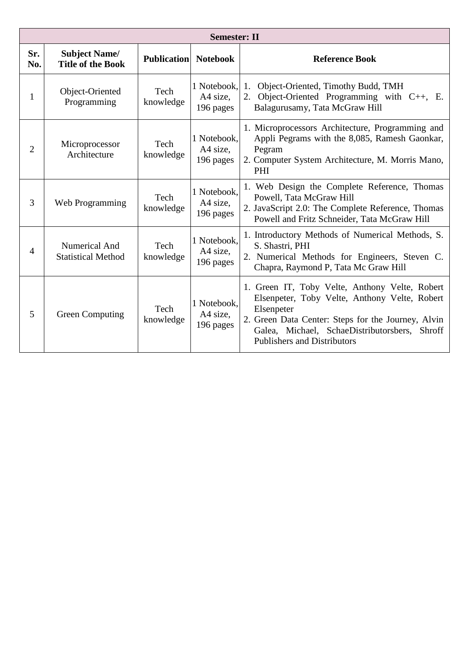| <b>Semester: II</b> |                                                  |                    |                                      |                                                                                                                                                                                                                                                            |  |
|---------------------|--------------------------------------------------|--------------------|--------------------------------------|------------------------------------------------------------------------------------------------------------------------------------------------------------------------------------------------------------------------------------------------------------|--|
| Sr.<br>No.          | <b>Subject Name/</b><br><b>Title of the Book</b> | <b>Publication</b> | <b>Notebook</b>                      | <b>Reference Book</b>                                                                                                                                                                                                                                      |  |
| 1                   | Object-Oriented<br>Programming                   | Tech<br>knowledge  | 1 Notebook,<br>A4 size,<br>196 pages | Object-Oriented, Timothy Budd, TMH<br>1.<br>2. Object-Oriented Programming with C++, E.<br>Balagurusamy, Tata McGraw Hill                                                                                                                                  |  |
| $\overline{2}$      | Microprocessor<br>Architecture                   | Tech<br>knowledge  | 1 Notebook,<br>A4 size.<br>196 pages | 1. Microprocessors Architecture, Programming and<br>Appli Pegrams with the 8,085, Ramesh Gaonkar,<br>Pegram<br>2. Computer System Architecture, M. Morris Mano,<br><b>PHI</b>                                                                              |  |
| 3                   | Web Programming                                  | Tech<br>knowledge  | 1 Notebook.<br>A4 size,<br>196 pages | 1. Web Design the Complete Reference, Thomas<br>Powell, Tata McGraw Hill<br>2. JavaScript 2.0: The Complete Reference, Thomas<br>Powell and Fritz Schneider, Tata McGraw Hill                                                                              |  |
| 4                   | Numerical And<br><b>Statistical Method</b>       | Tech<br>knowledge  | 1 Notebook,<br>A4 size,<br>196 pages | 1. Introductory Methods of Numerical Methods, S.<br>S. Shastri, PHI<br>2. Numerical Methods for Engineers, Steven C.<br>Chapra, Raymond P, Tata Mc Graw Hill                                                                                               |  |
| 5                   | <b>Green Computing</b>                           | Tech<br>knowledge  | 1 Notebook,<br>A4 size,<br>196 pages | 1. Green IT, Toby Velte, Anthony Velte, Robert<br>Elsenpeter, Toby Velte, Anthony Velte, Robert<br>Elsenpeter<br>2. Green Data Center: Steps for the Journey, Alvin<br>Galea, Michael, SchaeDistributorsbers, Shroff<br><b>Publishers and Distributors</b> |  |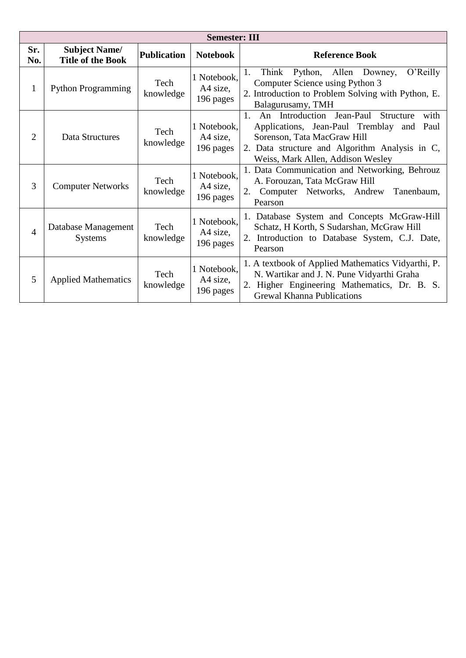|                | <b>Semester: III</b>                             |                    |                                      |                                                                                                                                                                                                                         |  |  |
|----------------|--------------------------------------------------|--------------------|--------------------------------------|-------------------------------------------------------------------------------------------------------------------------------------------------------------------------------------------------------------------------|--|--|
| Sr.<br>No.     | <b>Subject Name/</b><br><b>Title of the Book</b> | <b>Publication</b> | <b>Notebook</b>                      | <b>Reference Book</b>                                                                                                                                                                                                   |  |  |
| $\mathbf{1}$   | <b>Python Programming</b>                        | Tech<br>knowledge  | 1 Notebook,<br>A4 size,<br>196 pages | Think<br>Python, Allen Downey,<br>1.<br>O'Relly<br>Computer Science using Python 3<br>2. Introduction to Problem Solving with Python, E.<br>Balagurusamy, TMH                                                           |  |  |
| $\overline{2}$ | Data Structures                                  | Tech<br>knowledge  | 1 Notebook,<br>A4 size,<br>196 pages | An Introduction Jean-Paul<br>Structure<br>1.<br>with<br>Applications, Jean-Paul Tremblay and Paul<br>Sorenson, Tata MacGraw Hill<br>2. Data structure and Algorithm Analysis in C,<br>Weiss, Mark Allen, Addison Wesley |  |  |
| 3              | <b>Computer Networks</b>                         | Tech<br>knowledge  | 1 Notebook,<br>A4 size,<br>196 pages | 1. Data Communication and Networking, Behrouz<br>A. Forouzan, Tata McGraw Hill<br>2. Computer Networks, Andrew<br>Tanenbaum,<br>Pearson                                                                                 |  |  |
| $\overline{4}$ | Database Management<br><b>Systems</b>            | Tech<br>knowledge  | 1 Notebook,<br>A4 size,<br>196 pages | 1. Database System and Concepts McGraw-Hill<br>Schatz, H Korth, S Sudarshan, McGraw Hill<br>2. Introduction to Database System, C.J. Date,<br>Pearson                                                                   |  |  |
| 5              | <b>Applied Mathematics</b>                       | Tech<br>knowledge  | 1 Notebook,<br>A4 size,<br>196 pages | 1. A textbook of Applied Mathematics Vidyarthi, P.<br>N. Wartikar and J. N. Pune Vidyarthi Graha<br>2. Higher Engineering Mathematics, Dr. B. S.<br><b>Grewal Khanna Publications</b>                                   |  |  |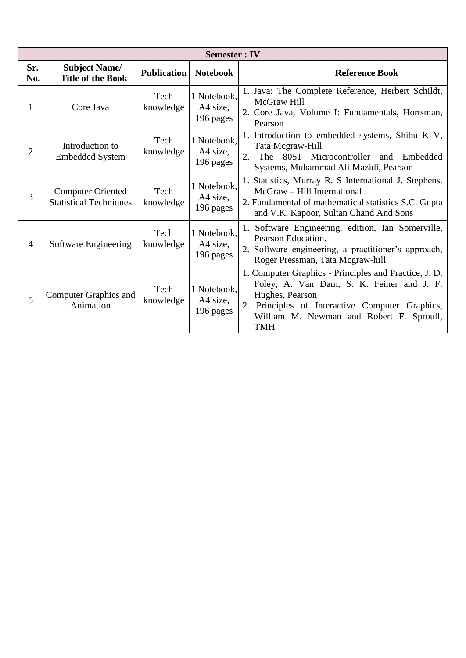| <b>Semester: IV</b> |                                                           |                    |                                      |                                                                                                                                                                                                                                    |  |
|---------------------|-----------------------------------------------------------|--------------------|--------------------------------------|------------------------------------------------------------------------------------------------------------------------------------------------------------------------------------------------------------------------------------|--|
| Sr.<br>No.          | <b>Subject Name/</b><br><b>Title of the Book</b>          | <b>Publication</b> | <b>Notebook</b>                      | <b>Reference Book</b>                                                                                                                                                                                                              |  |
| 1                   | Core Java                                                 | Tech<br>knowledge  | 1 Notebook,<br>A4 size,<br>196 pages | 1. Java: The Complete Reference, Herbert Schildt,<br>McGraw Hill<br>2. Core Java, Volume I: Fundamentals, Hortsman,<br>Pearson                                                                                                     |  |
| $\overline{2}$      | Introduction to<br><b>Embedded System</b>                 | Tech<br>knowledge  | 1 Notebook,<br>A4 size.<br>196 pages | 1. Introduction to embedded systems, Shibu K V,<br>Tata Mcgraw-Hill<br>2.<br>The 8051 Microcontroller and Embedded<br>Systems, Muhammad Ali Mazidi, Pearson                                                                        |  |
| 3                   | <b>Computer Oriented</b><br><b>Statistical Techniques</b> | Tech<br>knowledge  | 1 Notebook,<br>A4 size.<br>196 pages | 1. Statistics, Murray R. S International J. Stephens.<br>McGraw - Hill International<br>2. Fundamental of mathematical statistics S.C. Gupta<br>and V.K. Kapoor, Sultan Chand And Sons                                             |  |
| 4                   | Software Engineering                                      | Tech<br>knowledge  | 1 Notebook,<br>A4 size,<br>196 pages | 1. Software Engineering, edition, Ian Somerville,<br>Pearson Education.<br>2. Software engineering, a practitioner's approach,<br>Roger Pressman, Tata Mcgraw-hill                                                                 |  |
| 5                   | <b>Computer Graphics and</b><br>Animation                 | Tech<br>knowledge  | 1 Notebook,<br>A4 size,<br>196 pages | 1. Computer Graphics - Principles and Practice, J. D.<br>Foley, A. Van Dam, S. K. Feiner and J. F.<br>Hughes, Pearson<br>2. Principles of Interactive Computer Graphics,<br>William M. Newman and Robert F. Sproull,<br><b>TMH</b> |  |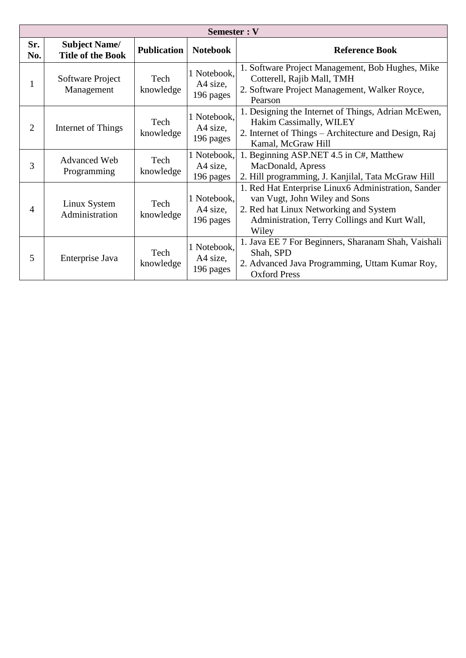| Semester : V |                                                  |                    |                                      |                                                                                                                                                                                          |  |
|--------------|--------------------------------------------------|--------------------|--------------------------------------|------------------------------------------------------------------------------------------------------------------------------------------------------------------------------------------|--|
| Sr.<br>No.   | <b>Subject Name/</b><br><b>Title of the Book</b> | <b>Publication</b> | <b>Notebook</b>                      | <b>Reference Book</b>                                                                                                                                                                    |  |
| -1           | Software Project<br>Management                   | Tech<br>knowledge  | 1 Notebook,<br>A4 size,<br>196 pages | 1. Software Project Management, Bob Hughes, Mike<br>Cotterell, Rajib Mall, TMH<br>2. Software Project Management, Walker Royce,<br>Pearson                                               |  |
| 2            | Internet of Things                               | Tech<br>knowledge  | 1 Notebook,<br>A4 size,<br>196 pages | 1. Designing the Internet of Things, Adrian McEwen,<br>Hakim Cassimally, WILEY<br>2. Internet of Things – Architecture and Design, Raj<br>Kamal, McGraw Hill                             |  |
| 3            | <b>Advanced Web</b><br>Programming               | Tech<br>knowledge  | 1 Notebook,<br>A4 size,<br>196 pages | 1. Beginning ASP.NET 4.5 in C#, Matthew<br>MacDonald, Apress<br>2. Hill programming, J. Kanjilal, Tata McGraw Hill                                                                       |  |
| 4            | Linux System<br>Administration                   | Tech<br>knowledge  | 1 Notebook,<br>A4 size,<br>196 pages | 1. Red Hat Enterprise Linux6 Administration, Sander<br>van Vugt, John Wiley and Sons<br>2. Red hat Linux Networking and System<br>Administration, Terry Collings and Kurt Wall,<br>Wiley |  |
| 5            | Enterprise Java                                  | Tech<br>knowledge  | 1 Notebook,<br>A4 size,<br>196 pages | 1. Java EE 7 For Beginners, Sharanam Shah, Vaishali<br>Shah, SPD<br>2. Advanced Java Programming, Uttam Kumar Roy,<br><b>Oxford Press</b>                                                |  |